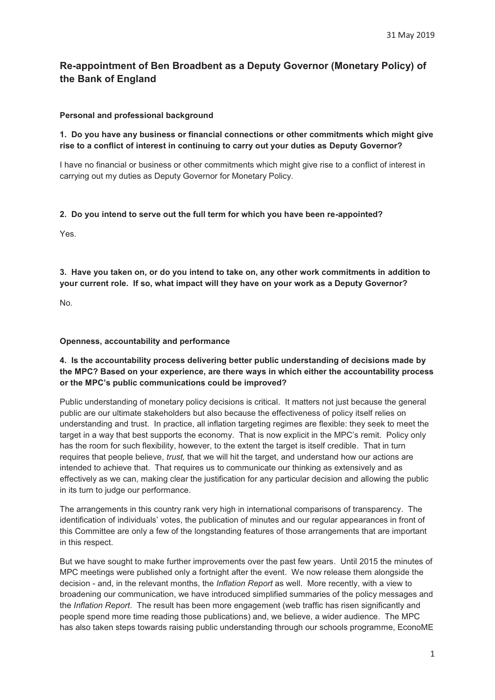# **Re-appointment of Ben Broadbent as a Deputy Governor (Monetary Policy) of the Bank of England**

### **Personal and professional background**

# **1. Do you have any business or financial connections or other commitments which might give rise to a conflict of interest in continuing to carry out your duties as Deputy Governor?**

I have no financial or business or other commitments which might give rise to a conflict of interest in carrying out my duties as Deputy Governor for Monetary Policy.

# **2. Do you intend to serve out the full term for which you have been re-appointed?**

Yes.

**3. Have you taken on, or do you intend to take on, any other work commitments in addition to your current role. If so, what impact will they have on your work as a Deputy Governor?** 

No.

### **Openness, accountability and performance**

# **4. Is the accountability process delivering better public understanding of decisions made by the MPC? Based on your experience, are there ways in which either the accountability process or the MPC's public communications could be improved?**

Public understanding of monetary policy decisions is critical. It matters not just because the general public are our ultimate stakeholders but also because the effectiveness of policy itself relies on understanding and trust. In practice, all inflation targeting regimes are flexible: they seek to meet the target in a way that best supports the economy. That is now explicit in the MPC's remit. Policy only has the room for such flexibility, however, to the extent the target is itself credible. That in turn requires that people believe, *trust,* that we will hit the target, and understand how our actions are intended to achieve that. That requires us to communicate our thinking as extensively and as effectively as we can, making clear the justification for any particular decision and allowing the public in its turn to judge our performance.

The arrangements in this country rank very high in international comparisons of transparency. The identification of individuals' votes, the publication of minutes and our regular appearances in front of this Committee are only a few of the longstanding features of those arrangements that are important in this respect.

But we have sought to make further improvements over the past few years. Until 2015 the minutes of MPC meetings were published only a fortnight after the event. We now release them alongside the decision - and, in the relevant months, the *Inflation Report* as well. More recently, with a view to broadening our communication, we have introduced simplified summaries of the policy messages and the *Inflation Report*. The result has been more engagement (web traffic has risen significantly and people spend more time reading those publications) and, we believe, a wider audience. The MPC has also taken steps towards raising public understanding through our schools programme, EconoME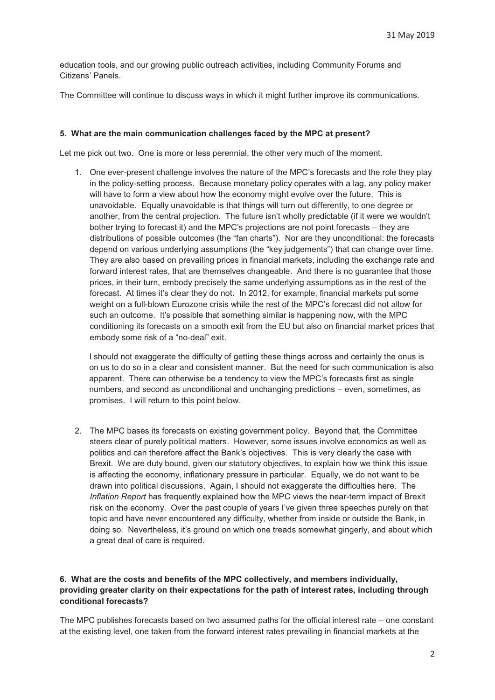education tools, and our growing public outreach activities, including Community Forums and Citizens' Panels.

The Committee will continue to discuss ways in which it might further improve its communications.

#### **5. What are the main communication challenges faced by the MPC at present?**

Let me pick out two. One is more or less perennial, the other very much of the moment.

1. One ever-present challenge involves the nature of the MPC's forecasts and the role they play in the policy-setting process. Because monetary policy operates with a lag, any policy maker will have to form a view about how the economy might evolve over the future. This is unavoidable. Equally unavoidable is that things will turn out differently, to one degree or another, from the central projection. The future isn't wholly predictable (if it were we wouldn't bother trying to forecast it) and the MPC's projections are not point forecasts – they are distributions of possible outcomes (the "fan charts"). Nor are they unconditional: the forecasts depend on various underlying assumptions (the "key judgements") that can change over time. They are also based on prevailing prices in financial markets, including the exchange rate and forward interest rates, that are themselves changeable. And there is no guarantee that those prices, in their turn, embody precisely the same underlying assumptions as in the rest of the forecast. At times it's clear they do not. In 2012, for example, financial markets put some weight on a full-blown Eurozone crisis while the rest of the MPC's forecast did not allow for such an outcome. It's possible that something similar is happening now, with the MPC conditioning its forecasts on a smooth exit from the EU but also on financial market prices that embody some risk of a "no-deal" exit.

I should not exaggerate the difficulty of getting these things across and certainly the onus is on us to do so in a clear and consistent manner. But the need for such communication is also apparent. There can otherwise be a tendency to view the MPC's forecasts first as single numbers, and second as unconditional and unchanging predictions – even, sometimes, as promises. I will return to this point below.

2. The MPC bases its forecasts on existing government policy. Beyond that, the Committee steers clear of purely political matters. However, some issues involve economics as well as politics and can therefore affect the Bank's objectives. This is very clearly the case with Brexit. We are duty bound, given our statutory objectives, to explain how we think this issue is affecting the economy, inflationary pressure in particular. Equally, we do not want to be drawn into political discussions. Again, I should not exaggerate the difficulties here. The *Inflation Report* has frequently explained how the MPC views the near-term impact of Brexit risk on the economy. Over the past couple of years I've given three speeches purely on that topic and have never encountered any difficulty, whether from inside or outside the Bank, in doing so. Nevertheless, it's ground on which one treads somewhat gingerly, and about which a great deal of care is required.

# **6. What are the costs and benefits of the MPC collectively, and members individually, providing greater clarity on their expectations for the path of interest rates, including through conditional forecasts?**

The MPC publishes forecasts based on two assumed paths for the official interest rate – one constant at the existing level, one taken from the forward interest rates prevailing in financial markets at the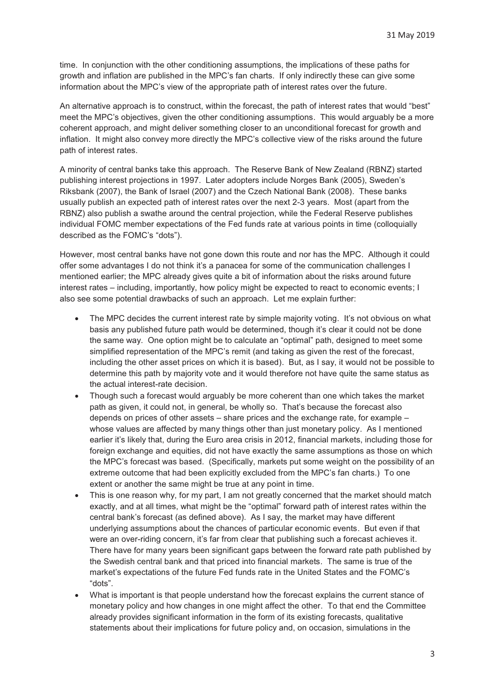time. In conjunction with the other conditioning assumptions, the implications of these paths for growth and inflation are published in the MPC's fan charts. If only indirectly these can give some information about the MPC's view of the appropriate path of interest rates over the future.

An alternative approach is to construct, within the forecast, the path of interest rates that would "best" meet the MPC's objectives, given the other conditioning assumptions. This would arguably be a more coherent approach, and might deliver something closer to an unconditional forecast for growth and inflation. It might also convey more directly the MPC's collective view of the risks around the future path of interest rates.

A minority of central banks take this approach. The Reserve Bank of New Zealand (RBNZ) started publishing interest projections in 1997. Later adopters include Norges Bank (2005), Sweden's Riksbank (2007), the Bank of Israel (2007) and the Czech National Bank (2008). These banks usually publish an expected path of interest rates over the next 2-3 years. Most (apart from the RBNZ) also publish a swathe around the central projection, while the Federal Reserve publishes individual FOMC member expectations of the Fed funds rate at various points in time (colloquially described as the FOMC's "dots").

However, most central banks have not gone down this route and nor has the MPC. Although it could offer some advantages I do not think it's a panacea for some of the communication challenges I mentioned earlier; the MPC already gives quite a bit of information about the risks around future interest rates – including, importantly, how policy might be expected to react to economic events; I also see some potential drawbacks of such an approach. Let me explain further:

- - The MPC decides the current interest rate by simple majority voting. It's not obvious on what basis any published future path would be determined, though it's clear it could not be done the same way. One option might be to calculate an "optimal" path, designed to meet some simplified representation of the MPC's remit (and taking as given the rest of the forecast, including the other asset prices on which it is based). But, as I say, it would not be possible to determine this path by majority vote and it would therefore not have quite the same status as the actual interest-rate decision.
- $\bullet$  Though such a forecast would arguably be more coherent than one which takes the market path as given, it could not, in general, be wholly so. That's because the forecast also depends on prices of other assets – share prices and the exchange rate, for example – whose values are affected by many things other than just monetary policy. As I mentioned earlier it's likely that, during the Euro area crisis in 2012, financial markets, including those for foreign exchange and equities, did not have exactly the same assumptions as those on which the MPC's forecast was based. (Specifically, markets put some weight on the possibility of an extreme outcome that had been explicitly excluded from the MPC's fan charts.) To one extent or another the same might be true at any point in time.
- - This is one reason why, for my part, I am not greatly concerned that the market should match exactly, and at all times, what might be the "optimal" forward path of interest rates within the central bank's forecast (as defined above). As I say, the market may have different underlying assumptions about the chances of particular economic events. But even if that were an over-riding concern, it's far from clear that publishing such a forecast achieves it. There have for many years been significant gaps between the forward rate path published by the Swedish central bank and that priced into financial markets. The same is true of the market's expectations of the future Fed funds rate in the United States and the FOMC's "dots".
- - What is important is that people understand how the forecast explains the current stance of monetary policy and how changes in one might affect the other. To that end the Committee already provides significant information in the form of its existing forecasts, qualitative statements about their implications for future policy and, on occasion, simulations in the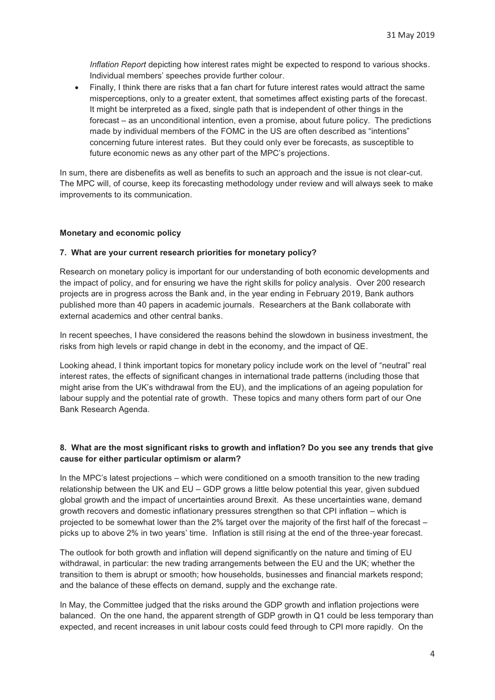*Inflation Report* depicting how interest rates might be expected to respond to various shocks. Individual members' speeches provide further colour.

 $\bullet$  Finally, I think there are risks that a fan chart for future interest rates would attract the same misperceptions, only to a greater extent, that sometimes affect existing parts of the forecast. It might be interpreted as a fixed, single path that is independent of other things in the forecast – as an unconditional intention, even a promise, about future policy. The predictions made by individual members of the FOMC in the US are often described as "intentions" concerning future interest rates. But they could only ever be forecasts, as susceptible to future economic news as any other part of the MPC's projections.

In sum, there are disbenefits as well as benefits to such an approach and the issue is not clear-cut. The MPC will, of course, keep its forecasting methodology under review and will always seek to make improvements to its communication.

#### **Monetary and economic policy**

#### **7. What are your current research priorities for monetary policy?**

Research on monetary policy is important for our understanding of both economic developments and the impact of policy, and for ensuring we have the right skills for policy analysis. Over 200 research projects are in progress across the Bank and, in the year ending in February 2019, Bank authors published more than 40 papers in academic journals. Researchers at the Bank collaborate with external academics and other central banks.

In recent speeches, I have considered the reasons behind the slowdown in business investment, the risks from high levels or rapid change in debt in the economy, and the impact of QE.

Looking ahead, I think important topics for monetary policy include work on the level of "neutral" real interest rates, the effects of significant changes in international trade patterns (including those that might arise from the UK's withdrawal from the EU), and the implications of an ageing population for labour supply and the potential rate of growth. These topics and many others form part of our One Bank Research Agenda.

# **8. What are the most significant risks to growth and inflation? Do you see any trends that give cause for either particular optimism or alarm?**

In the MPC's latest projections – which were conditioned on a smooth transition to the new trading relationship between the UK and EU – GDP grows a little below potential this year, given subdued global growth and the impact of uncertainties around Brexit. As these uncertainties wane, demand growth recovers and domestic inflationary pressures strengthen so that CPI inflation – which is projected to be somewhat lower than the 2% target over the majority of the first half of the forecast – picks up to above 2% in two years' time. Inflation is still rising at the end of the three-year forecast.

The outlook for both growth and inflation will depend significantly on the nature and timing of EU withdrawal, in particular: the new trading arrangements between the EU and the UK; whether the transition to them is abrupt or smooth; how households, businesses and financial markets respond; and the balance of these effects on demand, supply and the exchange rate.

In May, the Committee judged that the risks around the GDP growth and inflation projections were balanced. On the one hand, the apparent strength of GDP growth in Q1 could be less temporary than expected, and recent increases in unit labour costs could feed through to CPI more rapidly. On the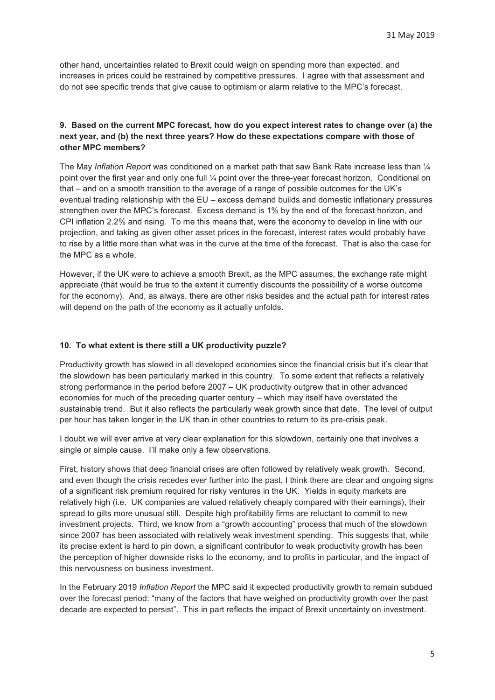other hand, uncertainties related to Brexit could weigh on spending more than expected, and increases in prices could be restrained by competitive pressures. I agree with that assessment and do not see specific trends that give cause to optimism or alarm relative to the MPC's forecast.

# **9. Based on the current MPC forecast, how do you expect interest rates to change over (a) the next year, and (b) the next three years? How do these expectations compare with those of other MPC members?**

The May *Inflation Report* was conditioned on a market path that saw Bank Rate increase less than ¼ point over the first year and only one full ¼ point over the three-year forecast horizon. Conditional on that – and on a smooth transition to the average of a range of possible outcomes for the UK's eventual trading relationship with the EU – excess demand builds and domestic inflationary pressures strengthen over the MPC's forecast. Excess demand is 1% by the end of the forecast horizon, and CPI inflation 2.2% and rising. To me this means that, were the economy to develop in line with our projection, and taking as given other asset prices in the forecast, interest rates would probably have to rise by a little more than what was in the curve at the time of the forecast. That is also the case for the MPC as a whole.

However, if the UK were to achieve a smooth Brexit, as the MPC assumes, the exchange rate might appreciate (that would be true to the extent it currently discounts the possibility of a worse outcome for the economy). And, as always, there are other risks besides and the actual path for interest rates will depend on the path of the economy as it actually unfolds.

#### **10. To what extent is there still a UK productivity puzzle?**

Productivity growth has slowed in all developed economies since the financial crisis but it's clear that the slowdown has been particularly marked in this country. To some extent that reflects a relatively strong performance in the period before 2007 – UK productivity outgrew that in other advanced economies for much of the preceding quarter century – which may itself have overstated the sustainable trend. But it also reflects the particularly weak growth since that date. The level of output per hour has taken longer in the UK than in other countries to return to its pre-crisis peak.

I doubt we will ever arrive at very clear explanation for this slowdown, certainly one that involves a single or simple cause. I'll make only a few observations.

First, history shows that deep financial crises are often followed by relatively weak growth. Second, and even though the crisis recedes ever further into the past, I think there are clear and ongoing signs of a significant risk premium required for risky ventures in the UK. Yields in equity markets are relatively high (i.e. UK companies are valued relatively cheaply compared with their earnings), their spread to gilts more unusual still. Despite high profitability firms are reluctant to commit to new investment projects. Third, we know from a "growth accounting" process that much of the slowdown since 2007 has been associated with relatively weak investment spending. This suggests that, while its precise extent is hard to pin down, a significant contributor to weak productivity growth has been the perception of higher downside risks to the economy, and to profits in particular, and the impact of this nervousness on business investment.

In the February 2019 *Inflation Report* the MPC said it expected productivity growth to remain subdued over the forecast period: "many of the factors that have weighed on productivity growth over the past decade are expected to persist". This in part reflects the impact of Brexit uncertainty on investment.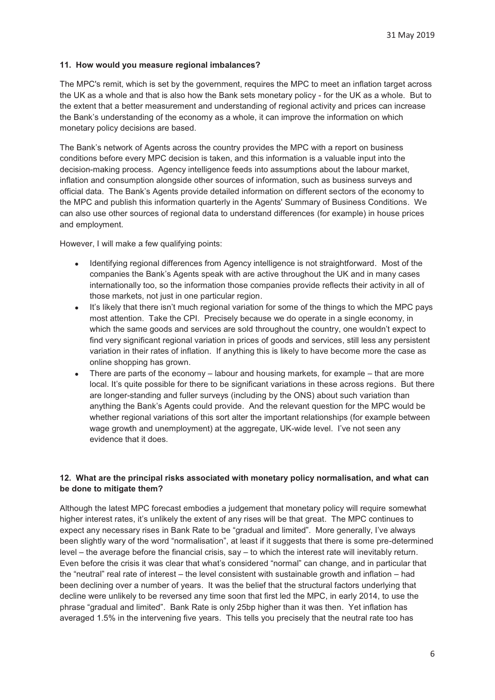#### **11. How would you measure regional imbalances?**

The MPC's remit, which is set by the government, requires the MPC to meet an inflation target across the UK as a whole and that is also how the Bank sets monetary policy - for the UK as a whole. But to the extent that a better measurement and understanding of regional activity and prices can increase the Bank's understanding of the economy as a whole, it can improve the information on which monetary policy decisions are based.

The Bank's network of Agents across the country provides the MPC with a report on business conditions before every MPC decision is taken, and this information is a valuable input into the decision-making process. Agency intelligence feeds into assumptions about the labour market, inflation and consumption alongside other sources of information, such as business surveys and official data. The Bank's Agents provide detailed information on different sectors of the economy to the MPC and publish this information quarterly in the Agents' Summary of Business Conditions. We can also use other sources of regional data to understand differences (for example) in house prices and employment.

However, I will make a few qualifying points:

- - Identifying regional differences from Agency intelligence is not straightforward. Most of the companies the Bank's Agents speak with are active throughout the UK and in many cases internationally too, so the information those companies provide reflects their activity in all of those markets, not just in one particular region.
- -It's likely that there isn't much regional variation for some of the things to which the MPC pays most attention. Take the CPI. Precisely because we do operate in a single economy, in which the same goods and services are sold throughout the country, one wouldn't expect to find very significant regional variation in prices of goods and services, still less any persistent variation in their rates of inflation. If anything this is likely to have become more the case as online shopping has grown.
- $\bullet$  There are parts of the economy – labour and housing markets, for example – that are more local. It's quite possible for there to be significant variations in these across regions. But there are longer-standing and fuller surveys (including by the ONS) about such variation than anything the Bank's Agents could provide. And the relevant question for the MPC would be whether regional variations of this sort alter the important relationships (for example between wage growth and unemployment) at the aggregate, UK-wide level. I've not seen any evidence that it does.

# **12. What are the principal risks associated with monetary policy normalisation, and what can be done to mitigate them?**

Although the latest MPC forecast embodies a judgement that monetary policy will require somewhat higher interest rates, it's unlikely the extent of any rises will be that great. The MPC continues to expect any necessary rises in Bank Rate to be "gradual and limited". More generally, I've always been slightly wary of the word "normalisation", at least if it suggests that there is some pre-determined level – the average before the financial crisis, say – to which the interest rate will inevitably return. Even before the crisis it was clear that what's considered "normal" can change, and in particular that the "neutral" real rate of interest – the level consistent with sustainable growth and inflation – had been declining over a number of years. It was the belief that the structural factors underlying that decline were unlikely to be reversed any time soon that first led the MPC, in early 2014, to use the phrase "gradual and limited". Bank Rate is only 25bp higher than it was then. Yet inflation has averaged 1.5% in the intervening five years. This tells you precisely that the neutral rate too has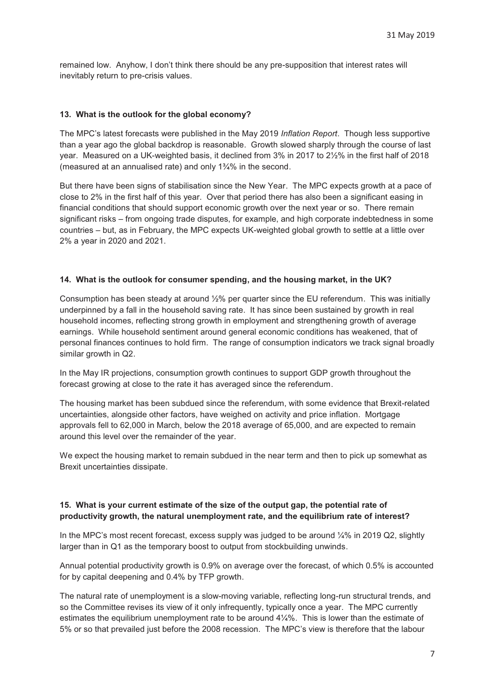remained low. Anyhow, I don't think there should be any pre-supposition that interest rates will inevitably return to pre-crisis values.

#### **13. What is the outlook for the global economy?**

The MPC's latest forecasts were published in the May 2019 *Inflation Report*. Though less supportive than a year ago the global backdrop is reasonable. Growth slowed sharply through the course of last year. Measured on a UK-weighted basis, it declined from 3% in 2017 to 2½% in the first half of 2018 (measured at an annualised rate) and only 1¾% in the second.

But there have been signs of stabilisation since the New Year. The MPC expects growth at a pace of close to 2% in the first half of this year. Over that period there has also been a significant easing in financial conditions that should support economic growth over the next year or so. There remain significant risks – from ongoing trade disputes, for example, and high corporate indebtedness in some countries – but, as in February, the MPC expects UK-weighted global growth to settle at a little over 2% a year in 2020 and 2021.

#### **14. What is the outlook for consumer spending, and the housing market, in the UK?**

Consumption has been steady at around ½% per quarter since the EU referendum. This was initially underpinned by a fall in the household saving rate. It has since been sustained by growth in real household incomes, reflecting strong growth in employment and strengthening growth of average earnings. While household sentiment around general economic conditions has weakened, that of personal finances continues to hold firm. The range of consumption indicators we track signal broadly similar growth in Q2.

In the May IR projections, consumption growth continues to support GDP growth throughout the forecast growing at close to the rate it has averaged since the referendum.

The housing market has been subdued since the referendum, with some evidence that Brexit-related uncertainties, alongside other factors, have weighed on activity and price inflation. Mortgage approvals fell to 62,000 in March, below the 2018 average of 65,000, and are expected to remain around this level over the remainder of the year.

We expect the housing market to remain subdued in the near term and then to pick up somewhat as Brexit uncertainties dissipate.

# **15. What is your current estimate of the size of the output gap, the potential rate of productivity growth, the natural unemployment rate, and the equilibrium rate of interest?**

In the MPC's most recent forecast, excess supply was judged to be around  $\frac{1}{4}$ % in 2019 Q2, slightly larger than in Q1 as the temporary boost to output from stockbuilding unwinds.

Annual potential productivity growth is 0.9% on average over the forecast, of which 0.5% is accounted for by capital deepening and 0.4% by TFP growth.

The natural rate of unemployment is a slow-moving variable, reflecting long-run structural trends, and so the Committee revises its view of it only infrequently, typically once a year. The MPC currently estimates the equilibrium unemployment rate to be around 4¼%. This is lower than the estimate of 5% or so that prevailed just before the 2008 recession. The MPC's view is therefore that the labour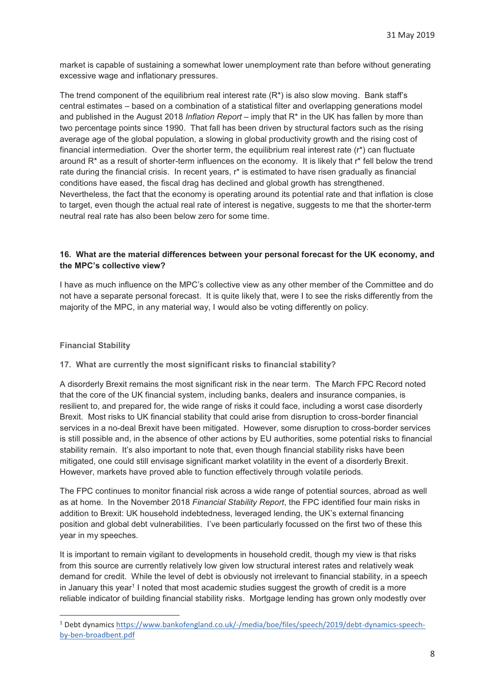market is capable of sustaining a somewhat lower unemployment rate than before without generating excessive wage and inflationary pressures.

The trend component of the equilibrium real interest rate  $(R^*)$  is also slow moving. Bank staff's central estimates – based on a combination of a statistical filter and overlapping generations model and published in the August 2018 *Inflation Report* – imply that R\* in the UK has fallen by more than two percentage points since 1990. That fall has been driven by structural factors such as the rising average age of the global population, a slowing in global productivity growth and the rising cost of financial intermediation. Over the shorter term, the equilibrium real interest rate (r\*) can fluctuate around R\* as a result of shorter-term influences on the economy. It is likely that r\* fell below the trend rate during the financial crisis. In recent years, r\* is estimated to have risen gradually as financial conditions have eased, the fiscal drag has declined and global growth has strengthened. Nevertheless, the fact that the economy is operating around its potential rate and that inflation is close to target, even though the actual real rate of interest is negative, suggests to me that the shorter-term neutral real rate has also been below zero for some time.

# **16. What are the material differences between your personal forecast for the UK economy, and the MPC's collective view?**

I have as much influence on the MPC's collective view as any other member of the Committee and do not have a separate personal forecast. It is quite likely that, were I to see the risks differently from the majority of the MPC, in any material way, I would also be voting differently on policy.

#### **Financial Stability**

 $\overline{a}$ 

### **17. What are currently the most significant risks to financial stability?**

A disorderly Brexit remains the most significant risk in the near term. The March FPC Record noted that the core of the UK financial system, including banks, dealers and insurance companies, is resilient to, and prepared for, the wide range of risks it could face, including a worst case disorderly Brexit. Most risks to UK financial stability that could arise from disruption to cross-border financial services in a no-deal Brexit have been mitigated. However, some disruption to cross-border services is still possible and, in the absence of other actions by EU authorities, some potential risks to financial stability remain. It's also important to note that, even though financial stability risks have been mitigated, one could still envisage significant market volatility in the event of a disorderly Brexit. However, markets have proved able to function effectively through volatile periods.

The FPC continues to monitor financial risk across a wide range of potential sources, abroad as well as at home. In the November 2018 *Financial Stability Report*, the FPC identified four main risks in addition to Brexit: UK household indebtedness, leveraged lending, the UK's external financing position and global debt vulnerabilities. I've been particularly focussed on the first two of these this year in my speeches.

It is important to remain vigilant to developments in household credit, though my view is that risks from this source are currently relatively low given low structural interest rates and relatively weak demand for credit. While the level of debt is obviously not irrelevant to financial stability, in a speech in January this year<sup>1</sup> I noted that most academic studies suggest the growth of credit is a more reliable indicator of building financial stability risks. Mortgage lending has grown only modestly over

<sup>&</sup>lt;sup>1</sup> Debt dynamics https://www.bankofengland.co.uk/-/media/boe/files/speech/2019/debt-dynamics-speechby-ben-broadbent.pdf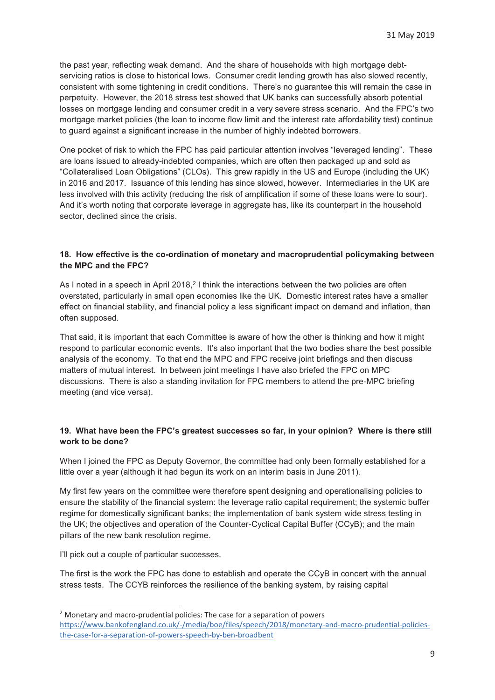the past year, reflecting weak demand. And the share of households with high mortgage debtservicing ratios is close to historical lows. Consumer credit lending growth has also slowed recently, consistent with some tightening in credit conditions. There's no guarantee this will remain the case in perpetuity. However, the 2018 stress test showed that UK banks can successfully absorb potential losses on mortgage lending and consumer credit in a very severe stress scenario. And the FPC's two mortgage market policies (the loan to income flow limit and the interest rate affordability test) continue to guard against a significant increase in the number of highly indebted borrowers.

One pocket of risk to which the FPC has paid particular attention involves "leveraged lending". These are loans issued to already-indebted companies, which are often then packaged up and sold as "Collateralised Loan Obligations" (CLOs). This grew rapidly in the US and Europe (including the UK) in 2016 and 2017. Issuance of this lending has since slowed, however. Intermediaries in the UK are less involved with this activity (reducing the risk of amplification if some of these loans were to sour). And it's worth noting that corporate leverage in aggregate has, like its counterpart in the household sector, declined since the crisis.

### **18. How effective is the co-ordination of monetary and macroprudential policymaking between the MPC and the FPC?**

As I noted in a speech in April 2018,<sup>2</sup> I think the interactions between the two policies are often overstated, particularly in small open economies like the UK. Domestic interest rates have a smaller effect on financial stability, and financial policy a less significant impact on demand and inflation, than often supposed.

That said, it is important that each Committee is aware of how the other is thinking and how it might respond to particular economic events. It's also important that the two bodies share the best possible analysis of the economy. To that end the MPC and FPC receive joint briefings and then discuss matters of mutual interest. In between joint meetings I have also briefed the FPC on MPC discussions. There is also a standing invitation for FPC members to attend the pre-MPC briefing meeting (and vice versa).

# **19. What have been the FPC's greatest successes so far, in your opinion? Where is there still work to be done?**

When I joined the FPC as Deputy Governor, the committee had only been formally established for a little over a year (although it had begun its work on an interim basis in June 2011).

My first few years on the committee were therefore spent designing and operationalising policies to ensure the stability of the financial system: the leverage ratio capital requirement; the systemic buffer regime for domestically significant banks; the implementation of bank system wide stress testing in the UK; the objectives and operation of the Counter-Cyclical Capital Buffer (CCyB); and the main pillars of the new bank resolution regime.

I'll pick out a couple of particular successes.

-

The first is the work the FPC has done to establish and operate the CCyB in concert with the annual stress tests. The CCYB reinforces the resilience of the banking system, by raising capital

<sup>&</sup>lt;sup>2</sup> Monetary and macro-prudential policies: The case for a separation of powers https://www.bankofengland.co.uk/-/media/boe/files/speech/2018/monetary-and-macro-prudential-policiesthe-case-for-a-separation-of-powers-speech-by-ben-broadbent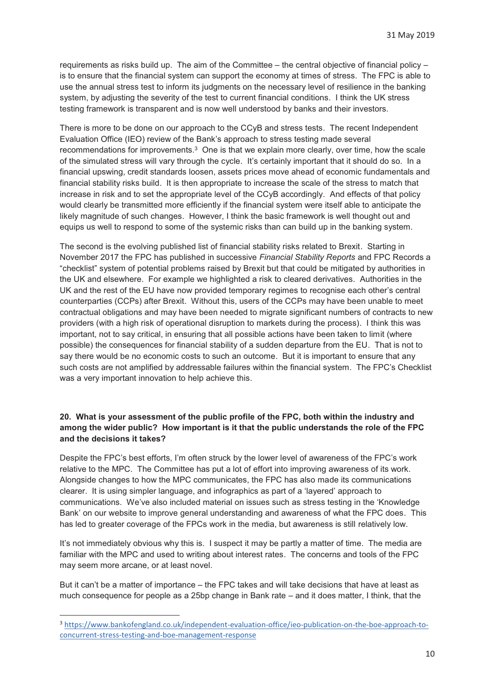requirements as risks build up. The aim of the Committee – the central objective of financial policy – is to ensure that the financial system can support the economy at times of stress. The FPC is able to use the annual stress test to inform its judgments on the necessary level of resilience in the banking system, by adjusting the severity of the test to current financial conditions. I think the UK stress testing framework is transparent and is now well understood by banks and their investors.

There is more to be done on our approach to the CCyB and stress tests. The recent Independent Evaluation Office (IEO) review of the Bank's approach to stress testing made several recommendations for improvements.3 One is that we explain more clearly, over time, how the scale of the simulated stress will vary through the cycle. It's certainly important that it should do so. In a financial upswing, credit standards loosen, assets prices move ahead of economic fundamentals and financial stability risks build. It is then appropriate to increase the scale of the stress to match that increase in risk and to set the appropriate level of the CCyB accordingly. And effects of that policy would clearly be transmitted more efficiently if the financial system were itself able to anticipate the likely magnitude of such changes. However, I think the basic framework is well thought out and equips us well to respond to some of the systemic risks than can build up in the banking system.

The second is the evolving published list of financial stability risks related to Brexit. Starting in November 2017 the FPC has published in successive *Financial Stability Reports* and FPC Records a "checklist" system of potential problems raised by Brexit but that could be mitigated by authorities in the UK and elsewhere. For example we highlighted a risk to cleared derivatives. Authorities in the UK and the rest of the EU have now provided temporary regimes to recognise each other's central counterparties (CCPs) after Brexit. Without this, users of the CCPs may have been unable to meet contractual obligations and may have been needed to migrate significant numbers of contracts to new providers (with a high risk of operational disruption to markets during the process). I think this was important, not to say critical, in ensuring that all possible actions have been taken to limit (where possible) the consequences for financial stability of a sudden departure from the EU. That is not to say there would be no economic costs to such an outcome. But it is important to ensure that any such costs are not amplified by addressable failures within the financial system. The FPC's Checklist was a very important innovation to help achieve this.

# **20. What is your assessment of the public profile of the FPC, both within the industry and among the wider public? How important is it that the public understands the role of the FPC and the decisions it takes?**

Despite the FPC's best efforts, I'm often struck by the lower level of awareness of the FPC's work relative to the MPC. The Committee has put a lot of effort into improving awareness of its work. Alongside changes to how the MPC communicates, the FPC has also made its communications clearer. It is using simpler language, and infographics as part of a 'layered' approach to communications. We've also included material on issues such as stress testing in the 'Knowledge Bank' on our website to improve general understanding and awareness of what the FPC does. This has led to greater coverage of the FPCs work in the media, but awareness is still relatively low.

It's not immediately obvious why this is. I suspect it may be partly a matter of time. The media are familiar with the MPC and used to writing about interest rates. The concerns and tools of the FPC may seem more arcane, or at least novel.

But it can't be a matter of importance – the FPC takes and will take decisions that have at least as much consequence for people as a 25bp change in Bank rate – and it does matter, I think, that the

 $\overline{a}$ 

<sup>3</sup> https://www.bankofengland.co.uk/independent-evaluation-office/ieo-publication-on-the-boe-approach-toconcurrent-stress-testing-and-boe-management-response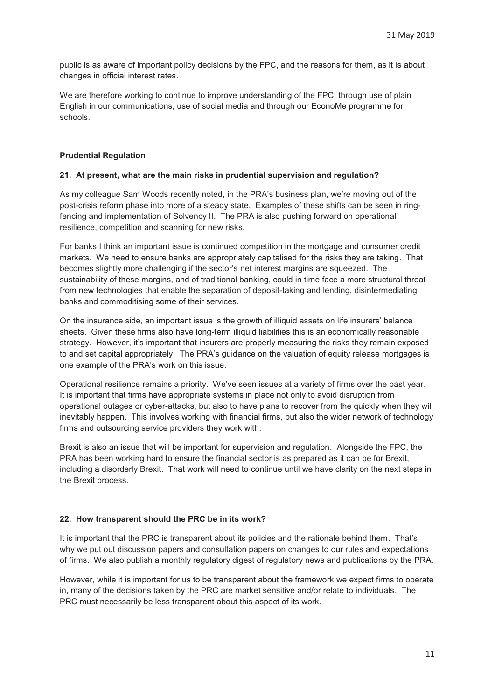public is as aware of important policy decisions by the FPC, and the reasons for them, as it is about changes in official interest rates.

We are therefore working to continue to improve understanding of the FPC, through use of plain English in our communications, use of social media and through our EconoMe programme for schools.

### **Prudential Regulation**

### **21. At present, what are the main risks in prudential supervision and regulation?**

As my colleague Sam Woods recently noted, in the PRA's business plan, we're moving out of the post-crisis reform phase into more of a steady state. Examples of these shifts can be seen in ringfencing and implementation of Solvency II. The PRA is also pushing forward on operational resilience, competition and scanning for new risks.

For banks I think an important issue is continued competition in the mortgage and consumer credit markets. We need to ensure banks are appropriately capitalised for the risks they are taking. That becomes slightly more challenging if the sector's net interest margins are squeezed. The sustainability of these margins, and of traditional banking, could in time face a more structural threat from new technologies that enable the separation of deposit-taking and lending, disintermediating banks and commoditising some of their services.

On the insurance side, an important issue is the growth of illiquid assets on life insurers' balance sheets. Given these firms also have long-term illiquid liabilities this is an economically reasonable strategy. However, it's important that insurers are properly measuring the risks they remain exposed to and set capital appropriately. The PRA's guidance on the valuation of equity release mortgages is one example of the PRA's work on this issue.

Operational resilience remains a priority. We've seen issues at a variety of firms over the past year. It is important that firms have appropriate systems in place not only to avoid disruption from operational outages or cyber-attacks, but also to have plans to recover from the quickly when they will inevitably happen. This involves working with financial firms, but also the wider network of technology firms and outsourcing service providers they work with.

Brexit is also an issue that will be important for supervision and regulation. Alongside the FPC, the PRA has been working hard to ensure the financial sector is as prepared as it can be for Brexit, including a disorderly Brexit. That work will need to continue until we have clarity on the next steps in the Brexit process.

### **22. How transparent should the PRC be in its work?**

It is important that the PRC is transparent about its policies and the rationale behind them. That's why we put out discussion papers and consultation papers on changes to our rules and expectations of firms. We also publish a monthly regulatory digest of regulatory news and publications by the PRA.

However, while it is important for us to be transparent about the framework we expect firms to operate in, many of the decisions taken by the PRC are market sensitive and/or relate to individuals. The PRC must necessarily be less transparent about this aspect of its work.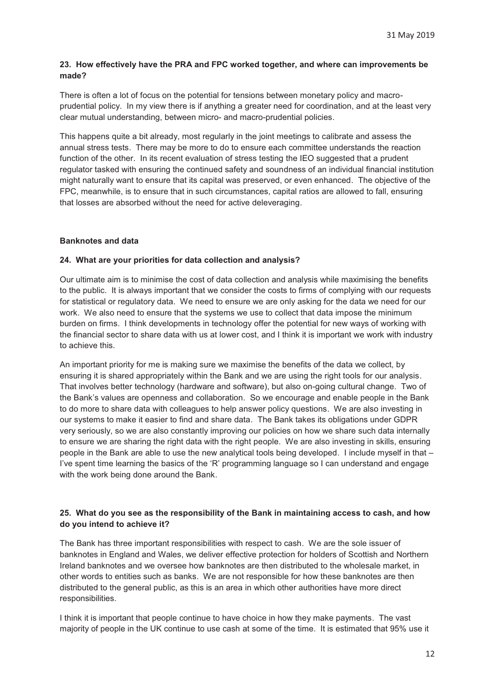### **23. How effectively have the PRA and FPC worked together, and where can improvements be made?**

There is often a lot of focus on the potential for tensions between monetary policy and macroprudential policy. In my view there is if anything a greater need for coordination, and at the least very clear mutual understanding, between micro- and macro-prudential policies.

This happens quite a bit already, most regularly in the joint meetings to calibrate and assess the annual stress tests. There may be more to do to ensure each committee understands the reaction function of the other. In its recent evaluation of stress testing the IEO suggested that a prudent regulator tasked with ensuring the continued safety and soundness of an individual financial institution might naturally want to ensure that its capital was preserved, or even enhanced. The objective of the FPC, meanwhile, is to ensure that in such circumstances, capital ratios are allowed to fall, ensuring that losses are absorbed without the need for active deleveraging.

### **Banknotes and data**

### **24. What are your priorities for data collection and analysis?**

Our ultimate aim is to minimise the cost of data collection and analysis while maximising the benefits to the public. It is always important that we consider the costs to firms of complying with our requests for statistical or regulatory data. We need to ensure we are only asking for the data we need for our work. We also need to ensure that the systems we use to collect that data impose the minimum burden on firms. I think developments in technology offer the potential for new ways of working with the financial sector to share data with us at lower cost, and I think it is important we work with industry to achieve this.

An important priority for me is making sure we maximise the benefits of the data we collect, by ensuring it is shared appropriately within the Bank and we are using the right tools for our analysis. That involves better technology (hardware and software), but also on-going cultural change. Two of the Bank's values are openness and collaboration. So we encourage and enable people in the Bank to do more to share data with colleagues to help answer policy questions. We are also investing in our systems to make it easier to find and share data. The Bank takes its obligations under GDPR very seriously, so we are also constantly improving our policies on how we share such data internally to ensure we are sharing the right data with the right people. We are also investing in skills, ensuring people in the Bank are able to use the new analytical tools being developed. I include myself in that – I've spent time learning the basics of the 'R' programming language so I can understand and engage with the work being done around the Bank.

# **25. What do you see as the responsibility of the Bank in maintaining access to cash, and how do you intend to achieve it?**

The Bank has three important responsibilities with respect to cash. We are the sole issuer of banknotes in England and Wales, we deliver effective protection for holders of Scottish and Northern Ireland banknotes and we oversee how banknotes are then distributed to the wholesale market, in other words to entities such as banks. We are not responsible for how these banknotes are then distributed to the general public, as this is an area in which other authorities have more direct responsibilities.

I think it is important that people continue to have choice in how they make payments. The vast majority of people in the UK continue to use cash at some of the time. It is estimated that 95% use it